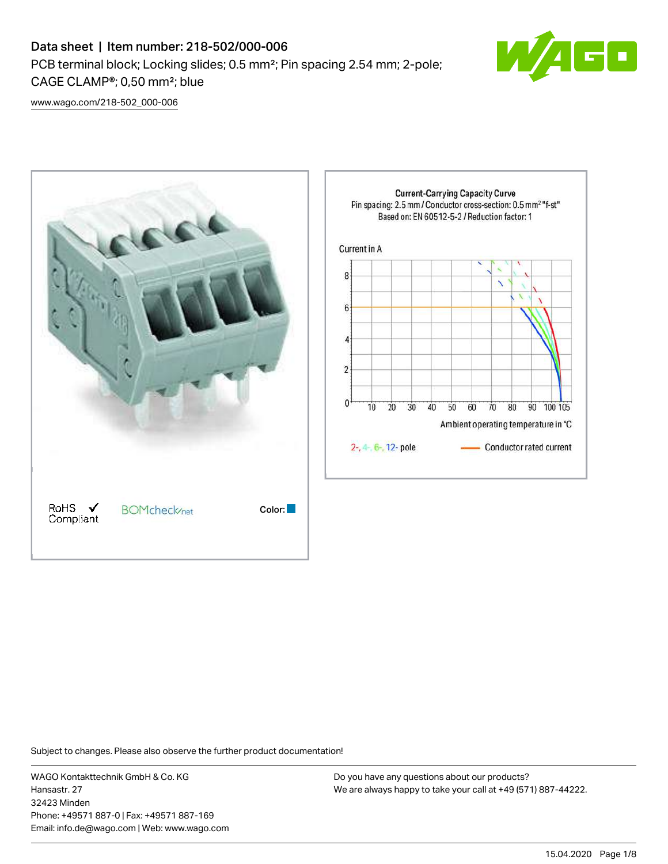

[www.wago.com/218-502\\_000-006](http://www.wago.com/218-502_000-006)



Subject to changes. Please also observe the further product documentation!

WAGO Kontakttechnik GmbH & Co. KG Hansastr. 27 32423 Minden Phone: +49571 887-0 | Fax: +49571 887-169 Email: info.de@wago.com | Web: www.wago.com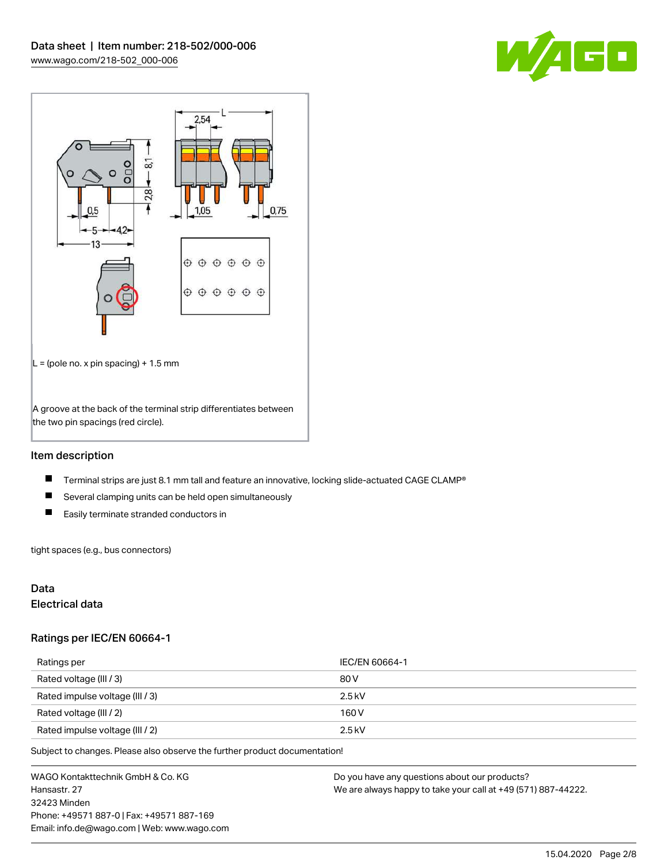



## Item description

- $\blacksquare$ Terminal strips are just 8.1 mm tall and feature an innovative, locking slide-actuated CAGE CLAMP®
- $\blacksquare$ Several clamping units can be held open simultaneously
- $\blacksquare$ Easily terminate stranded conductors in

tight spaces (e.g., bus connectors)

## Data

## Electrical data

#### Ratings per IEC/EN 60664-1

| Ratings per                     | IEC/EN 60664-1 |
|---------------------------------|----------------|
| Rated voltage (III / 3)         | 80 V           |
| Rated impulse voltage (III / 3) | $2.5$ kV       |
| Rated voltage (III / 2)         | 160 V          |
| Rated impulse voltage (III / 2) | $2.5$ kV       |

Subject to changes. Please also observe the further product documentation!

WAGO Kontakttechnik GmbH & Co. KG Hansastr. 27 32423 Minden Phone: +49571 887-0 | Fax: +49571 887-169 Email: info.de@wago.com | Web: www.wago.com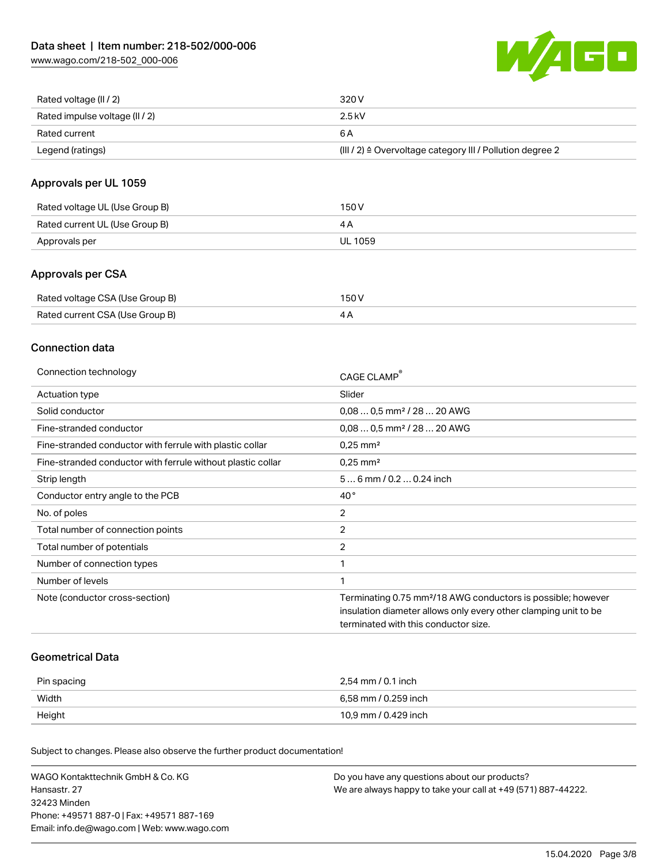

| Rated voltage (II / 2)         | 320 V                                                     |
|--------------------------------|-----------------------------------------------------------|
| Rated impulse voltage (II / 2) | $2.5$ kV                                                  |
| Rated current                  | 6 A                                                       |
| Legend (ratings)               | (III / 2) ≙ Overvoltage category III / Pollution degree 2 |

## Approvals per UL 1059

| Rated voltage UL (Use Group B) | 150 V   |
|--------------------------------|---------|
| Rated current UL (Use Group B) |         |
| Approvals per                  | UL 1059 |

## Approvals per CSA

| Rated voltage CSA (Use Group B) | 150 V |
|---------------------------------|-------|
| Rated current CSA (Use Group B) | 4Α    |

## Connection data

| Connection technology                                       | CAGE CLAMP                                                                                                                                                                          |
|-------------------------------------------------------------|-------------------------------------------------------------------------------------------------------------------------------------------------------------------------------------|
| Actuation type                                              | Slider                                                                                                                                                                              |
| Solid conductor                                             | $0.080.5$ mm <sup>2</sup> / 28  20 AWG                                                                                                                                              |
| Fine-stranded conductor                                     | $0,080,5$ mm <sup>2</sup> / 28  20 AWG                                                                                                                                              |
| Fine-stranded conductor with ferrule with plastic collar    | $0.25$ mm <sup>2</sup>                                                                                                                                                              |
| Fine-stranded conductor with ferrule without plastic collar | $0.25$ mm <sup>2</sup>                                                                                                                                                              |
| Strip length                                                | $56$ mm $/ 0.20.24$ inch                                                                                                                                                            |
| Conductor entry angle to the PCB                            | $40^{\circ}$                                                                                                                                                                        |
| No. of poles                                                | 2                                                                                                                                                                                   |
| Total number of connection points                           | 2                                                                                                                                                                                   |
| Total number of potentials                                  | 2                                                                                                                                                                                   |
| Number of connection types                                  |                                                                                                                                                                                     |
| Number of levels                                            | 1                                                                                                                                                                                   |
| Note (conductor cross-section)                              | Terminating 0.75 mm <sup>2</sup> /18 AWG conductors is possible; however<br>insulation diameter allows only every other clamping unit to be<br>terminated with this conductor size. |

### Geometrical Data

| Pin spacing | 2,54 mm / 0.1 inch   |
|-------------|----------------------|
| Width       | 6,58 mm / 0.259 inch |
| Height      | 10,9 mm / 0.429 inch |

Subject to changes. Please also observe the further product documentation!

| WAGO Kontakttechnik GmbH & Co. KG           | Do you have any questions about our products?                 |
|---------------------------------------------|---------------------------------------------------------------|
| Hansastr. 27                                | We are always happy to take your call at +49 (571) 887-44222. |
| 32423 Minden                                |                                                               |
| Phone: +49571 887-01 Fax: +49571 887-169    |                                                               |
| Email: info.de@wago.com   Web: www.wago.com |                                                               |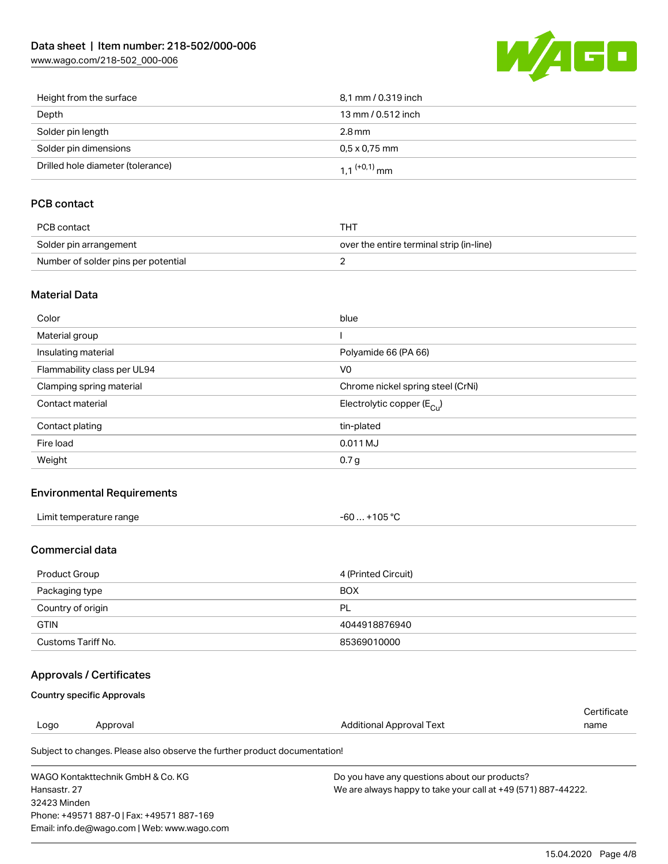[www.wago.com/218-502\\_000-006](http://www.wago.com/218-502_000-006)



| Height from the surface           | 8.1 mm / 0.319 inch        |
|-----------------------------------|----------------------------|
| Depth                             | 13 mm / 0.512 inch         |
| Solder pin length                 | 2.8 mm                     |
| Solder pin dimensions             | $0.5 \times 0.75$ mm       |
| Drilled hole diameter (tolerance) | $1.1$ <sup>(+0,1)</sup> mm |

## PCB contact

| PCB contact                         | THT                                      |
|-------------------------------------|------------------------------------------|
| Solder pin arrangement              | over the entire terminal strip (in-line) |
| Number of solder pins per potential |                                          |

### Material Data

| Color                       | blue                                   |
|-----------------------------|----------------------------------------|
| Material group              |                                        |
| Insulating material         | Polyamide 66 (PA 66)                   |
| Flammability class per UL94 | V <sub>0</sub>                         |
| Clamping spring material    | Chrome nickel spring steel (CrNi)      |
| Contact material            | Electrolytic copper (E <sub>Cu</sub> ) |
| Contact plating             | tin-plated                             |
| Fire load                   | 0.011 MJ                               |
| Weight                      | 0.7 <sub>g</sub>                       |

## Environmental Requirements

| Limit temperature range<br>. | +105 $\degree$ C<br>-60 |
|------------------------------|-------------------------|
|------------------------------|-------------------------|

### Commercial data

| Product Group      | 4 (Printed Circuit) |
|--------------------|---------------------|
| Packaging type     | <b>BOX</b>          |
| Country of origin  | PL                  |
| <b>GTIN</b>        | 4044918876940       |
| Customs Tariff No. | 85369010000         |

# Approvals / Certificates

### Country specific Approvals

Email: info.de@wago.com | Web: www.wago.com

|              |                                                                            |                                                               | Certificate |
|--------------|----------------------------------------------------------------------------|---------------------------------------------------------------|-------------|
| Logo         | Approval                                                                   | Additional Approval Text                                      | name        |
|              | Subject to changes. Please also observe the further product documentation! |                                                               |             |
|              | WAGO Kontakttechnik GmbH & Co. KG                                          | Do you have any questions about our products?                 |             |
| Hansastr, 27 |                                                                            | We are always happy to take your call at +49 (571) 887-44222. |             |
| 32423 Minden |                                                                            |                                                               |             |
|              | Phone: +49571 887-01 Fax: +49571 887-169                                   |                                                               |             |

15.04.2020 Page 4/8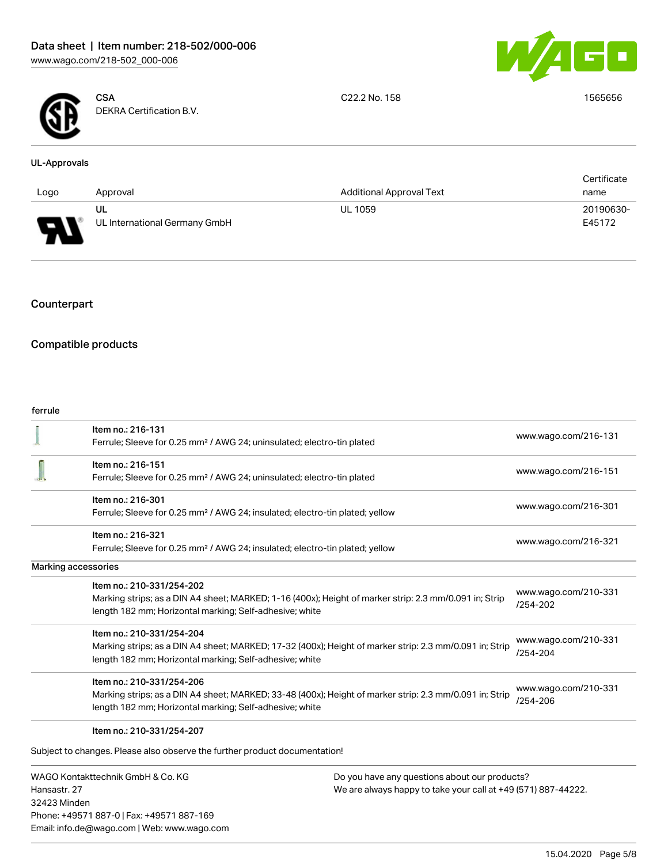



**CSA** DEKRA Certification B.V. C22.2 No. 158 1565656

### UL-Approvals

|      |                               |                                 | Certificate |  |
|------|-------------------------------|---------------------------------|-------------|--|
| Logo | Approval                      | <b>Additional Approval Text</b> | name        |  |
|      | UL                            | <b>UL 1059</b>                  | 20190630-   |  |
| Б    | UL International Germany GmbH |                                 | E45172      |  |

## Counterpart

## Compatible products

### ferrule

| Item no.: 216-131<br>Ferrule; Sleeve for 0.25 mm <sup>2</sup> / AWG 24; uninsulated; electro-tin plated<br>Item no.: 216-151<br>www.wago.com/216-151<br>Ferrule; Sleeve for 0.25 mm <sup>2</sup> / AWG 24; uninsulated; electro-tin plated<br>Item no.: 216-301<br>www.wago.com/216-301<br>Ferrule; Sleeve for 0.25 mm <sup>2</sup> / AWG 24; insulated; electro-tin plated; yellow<br>Item no.: 216-321<br>www.wago.com/216-321<br>Ferrule; Sleeve for 0.25 mm <sup>2</sup> / AWG 24; insulated; electro-tin plated; yellow<br><b>Marking accessories</b><br>Item no.: 210-331/254-202<br>www.wago.com/210-331<br>Marking strips; as a DIN A4 sheet; MARKED; 1-16 (400x); Height of marker strip: 2.3 mm/0.091 in; Strip<br>$/254 - 202$<br>length 182 mm; Horizontal marking; Self-adhesive; white<br>Item no.: 210-331/254-204<br>www.wago.com/210-331<br>Marking strips; as a DIN A4 sheet; MARKED; 17-32 (400x); Height of marker strip: 2.3 mm/0.091 in; Strip<br>/254-204<br>length 182 mm; Horizontal marking; Self-adhesive; white<br>Item no.: 210-331/254-206 | .u. .u. |                      |
|--------------------------------------------------------------------------------------------------------------------------------------------------------------------------------------------------------------------------------------------------------------------------------------------------------------------------------------------------------------------------------------------------------------------------------------------------------------------------------------------------------------------------------------------------------------------------------------------------------------------------------------------------------------------------------------------------------------------------------------------------------------------------------------------------------------------------------------------------------------------------------------------------------------------------------------------------------------------------------------------------------------------------------------------------------------------------|---------|----------------------|
|                                                                                                                                                                                                                                                                                                                                                                                                                                                                                                                                                                                                                                                                                                                                                                                                                                                                                                                                                                                                                                                                          |         | www.wago.com/216-131 |
|                                                                                                                                                                                                                                                                                                                                                                                                                                                                                                                                                                                                                                                                                                                                                                                                                                                                                                                                                                                                                                                                          |         |                      |
|                                                                                                                                                                                                                                                                                                                                                                                                                                                                                                                                                                                                                                                                                                                                                                                                                                                                                                                                                                                                                                                                          |         |                      |
|                                                                                                                                                                                                                                                                                                                                                                                                                                                                                                                                                                                                                                                                                                                                                                                                                                                                                                                                                                                                                                                                          |         |                      |
|                                                                                                                                                                                                                                                                                                                                                                                                                                                                                                                                                                                                                                                                                                                                                                                                                                                                                                                                                                                                                                                                          |         |                      |
|                                                                                                                                                                                                                                                                                                                                                                                                                                                                                                                                                                                                                                                                                                                                                                                                                                                                                                                                                                                                                                                                          |         |                      |
|                                                                                                                                                                                                                                                                                                                                                                                                                                                                                                                                                                                                                                                                                                                                                                                                                                                                                                                                                                                                                                                                          |         |                      |
|                                                                                                                                                                                                                                                                                                                                                                                                                                                                                                                                                                                                                                                                                                                                                                                                                                                                                                                                                                                                                                                                          |         |                      |
|                                                                                                                                                                                                                                                                                                                                                                                                                                                                                                                                                                                                                                                                                                                                                                                                                                                                                                                                                                                                                                                                          |         |                      |
|                                                                                                                                                                                                                                                                                                                                                                                                                                                                                                                                                                                                                                                                                                                                                                                                                                                                                                                                                                                                                                                                          |         |                      |
|                                                                                                                                                                                                                                                                                                                                                                                                                                                                                                                                                                                                                                                                                                                                                                                                                                                                                                                                                                                                                                                                          |         |                      |
|                                                                                                                                                                                                                                                                                                                                                                                                                                                                                                                                                                                                                                                                                                                                                                                                                                                                                                                                                                                                                                                                          |         |                      |
|                                                                                                                                                                                                                                                                                                                                                                                                                                                                                                                                                                                                                                                                                                                                                                                                                                                                                                                                                                                                                                                                          |         |                      |
|                                                                                                                                                                                                                                                                                                                                                                                                                                                                                                                                                                                                                                                                                                                                                                                                                                                                                                                                                                                                                                                                          |         |                      |
|                                                                                                                                                                                                                                                                                                                                                                                                                                                                                                                                                                                                                                                                                                                                                                                                                                                                                                                                                                                                                                                                          |         |                      |
| Marking strips; as a DIN A4 sheet; MARKED; 33-48 (400x); Height of marker strip: 2.3 mm/0.091 in; Strip                                                                                                                                                                                                                                                                                                                                                                                                                                                                                                                                                                                                                                                                                                                                                                                                                                                                                                                                                                  |         | www.wago.com/210-331 |
| /254-206<br>length 182 mm; Horizontal marking; Self-adhesive; white                                                                                                                                                                                                                                                                                                                                                                                                                                                                                                                                                                                                                                                                                                                                                                                                                                                                                                                                                                                                      |         |                      |
| Item no.: 210-331/254-207                                                                                                                                                                                                                                                                                                                                                                                                                                                                                                                                                                                                                                                                                                                                                                                                                                                                                                                                                                                                                                                |         |                      |
| Subject to changes. Please also observe the further product documentation!                                                                                                                                                                                                                                                                                                                                                                                                                                                                                                                                                                                                                                                                                                                                                                                                                                                                                                                                                                                               |         |                      |

WAGO Kontakttechnik GmbH & Co. KG Hansastr. 27 32423 Minden Phone: +49571 887-0 | Fax: +49571 887-169 Email: info.de@wago.com | Web: www.wago.com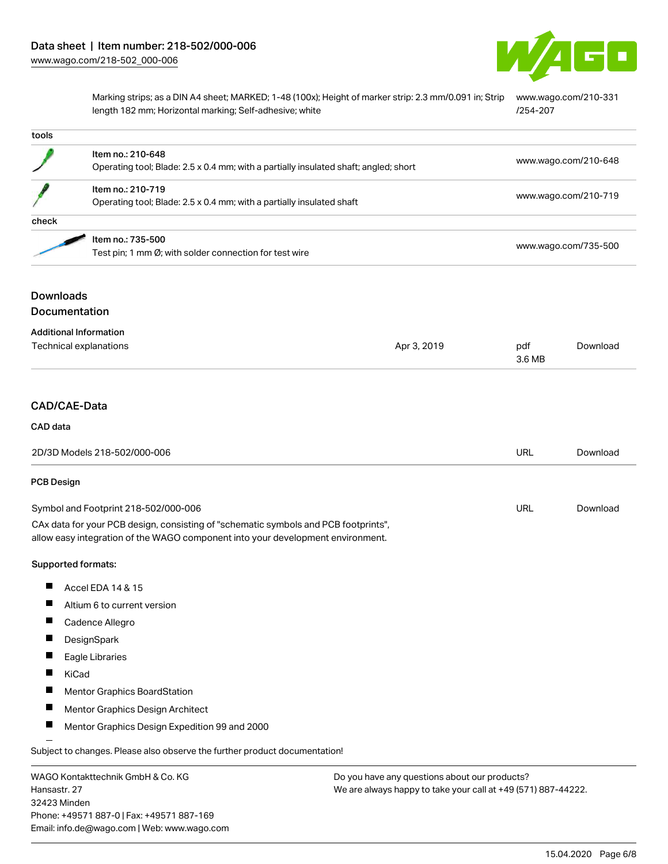

Marking strips; as a DIN A4 sheet; MARKED; 1-48 (100x); Height of marker strip: 2.3 mm/0.091 in; Strip [www.wago.com/210-331](http://www.wago.com/210-331/254-207) length 182 mm; Horizontal marking; Self-adhesive; white [/254-207](http://www.wago.com/210-331/254-207)

| tools                                                   |                                                                                                                                                                        |                                               |                      |                      |  |
|---------------------------------------------------------|------------------------------------------------------------------------------------------------------------------------------------------------------------------------|-----------------------------------------------|----------------------|----------------------|--|
|                                                         | Item no.: 210-648<br>Operating tool; Blade: 2.5 x 0.4 mm; with a partially insulated shaft; angled; short                                                              |                                               |                      | www.wago.com/210-648 |  |
|                                                         | Item no.: 210-719                                                                                                                                                      |                                               | www.wago.com/210-719 |                      |  |
|                                                         | Operating tool; Blade: 2.5 x 0.4 mm; with a partially insulated shaft                                                                                                  |                                               |                      |                      |  |
| check                                                   |                                                                                                                                                                        |                                               |                      |                      |  |
|                                                         | Item no.: 735-500<br>Test pin; 1 mm Ø; with solder connection for test wire                                                                                            |                                               |                      | www.wago.com/735-500 |  |
| <b>Downloads</b><br>Documentation                       |                                                                                                                                                                        |                                               |                      |                      |  |
|                                                         |                                                                                                                                                                        |                                               |                      |                      |  |
| <b>Additional Information</b><br>Technical explanations |                                                                                                                                                                        | Apr 3, 2019                                   | pdf<br>3.6 MB        | Download             |  |
| CAD/CAE-Data                                            |                                                                                                                                                                        |                                               |                      |                      |  |
| CAD data                                                |                                                                                                                                                                        |                                               |                      |                      |  |
|                                                         | 2D/3D Models 218-502/000-006                                                                                                                                           |                                               | <b>URL</b>           | Download             |  |
| <b>PCB Design</b>                                       |                                                                                                                                                                        |                                               |                      |                      |  |
|                                                         | Symbol and Footprint 218-502/000-006                                                                                                                                   |                                               | URL                  | Download             |  |
|                                                         | CAx data for your PCB design, consisting of "schematic symbols and PCB footprints",<br>allow easy integration of the WAGO component into your development environment. |                                               |                      |                      |  |
| Supported formats:                                      |                                                                                                                                                                        |                                               |                      |                      |  |
|                                                         | Accel EDA 14 & 15                                                                                                                                                      |                                               |                      |                      |  |
| ш                                                       | Altium 6 to current version                                                                                                                                            |                                               |                      |                      |  |
|                                                         | Cadence Allegro                                                                                                                                                        |                                               |                      |                      |  |
|                                                         | DesignSpark                                                                                                                                                            |                                               |                      |                      |  |
|                                                         | Eagle Libraries                                                                                                                                                        |                                               |                      |                      |  |
| KiCad                                                   |                                                                                                                                                                        |                                               |                      |                      |  |
|                                                         | Mentor Graphics BoardStation                                                                                                                                           |                                               |                      |                      |  |
| ш                                                       | Mentor Graphics Design Architect                                                                                                                                       |                                               |                      |                      |  |
|                                                         | Mentor Graphics Design Expedition 99 and 2000                                                                                                                          |                                               |                      |                      |  |
|                                                         | Subject to changes. Please also observe the further product documentation!                                                                                             |                                               |                      |                      |  |
|                                                         | WAGO Kontakttechnik GmbH & Co. KG                                                                                                                                      | Do you have any questions about our products? |                      |                      |  |

WAGO Kontakttechnik GmbH & Co. KG Hansastr. 27 32423 Minden Phone: +49571 887-0 | Fax: +49571 887-169 Email: info.de@wago.com | Web: www.wago.com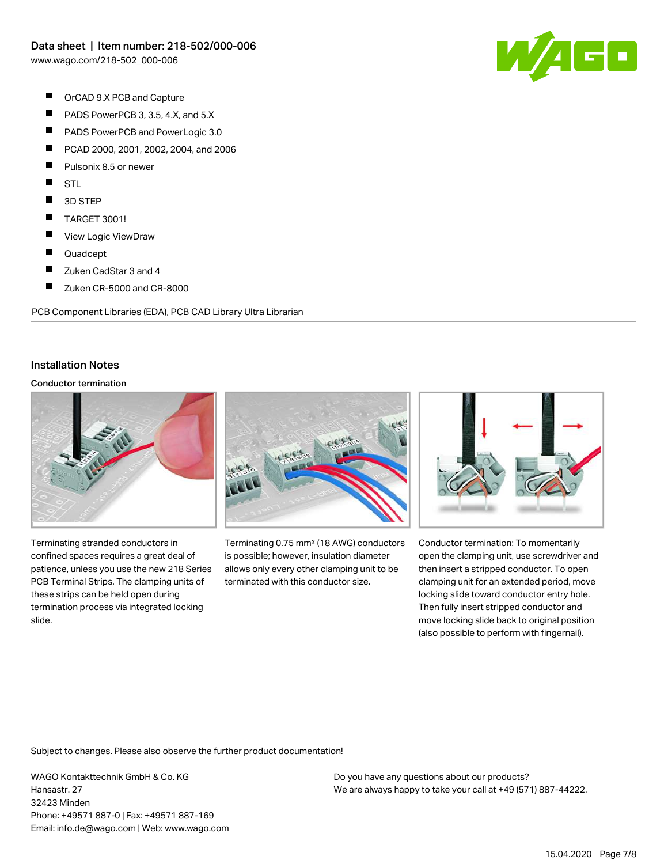

- $\blacksquare$ OrCAD 9.X PCB and Capture
- $\blacksquare$ PADS PowerPCB 3, 3.5, 4.X, and 5.X
- $\blacksquare$ PADS PowerPCB and PowerLogic 3.0
- $\blacksquare$ PCAD 2000, 2001, 2002, 2004, and 2006
- П Pulsonix 8.5 or newer
- П **STL**
- $\blacksquare$ 3D STEP
- $\blacksquare$ TARGET 3001!
- $\blacksquare$ View Logic ViewDraw
- П Quadcept
- $\blacksquare$ Zuken CadStar 3 and 4
- $\blacksquare$ Zuken CR-5000 and CR-8000

PCB Component Libraries (EDA), PCB CAD Library Ultra Librarian

### Installation Notes

#### Conductor termination



Terminating stranded conductors in confined spaces requires a great deal of patience, unless you use the new 218 Series PCB Terminal Strips. The clamping units of these strips can be held open during termination process via integrated locking slide.



Terminating 0.75 mm² (18 AWG) conductors is possible; however, insulation diameter allows only every other clamping unit to be terminated with this conductor size.



Conductor termination: To momentarily open the clamping unit, use screwdriver and then insert a stripped conductor. To open clamping unit for an extended period, move locking slide toward conductor entry hole. Then fully insert stripped conductor and move locking slide back to original position (also possible to perform with fingernail).

Subject to changes. Please also observe the further product documentation!

WAGO Kontakttechnik GmbH & Co. KG Hansastr. 27 32423 Minden Phone: +49571 887-0 | Fax: +49571 887-169 Email: info.de@wago.com | Web: www.wago.com